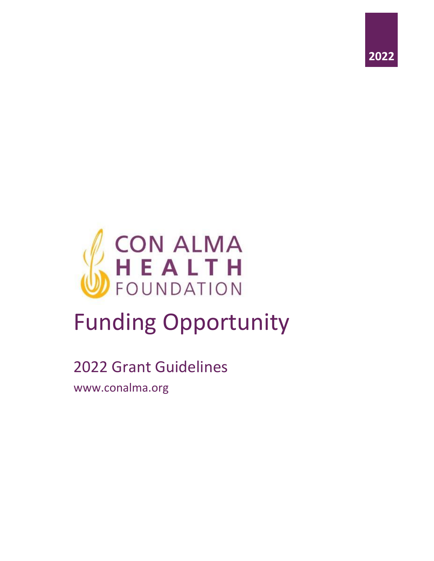



# Funding Opportunity

# 2022 Grant Guidelines

www.conalma.org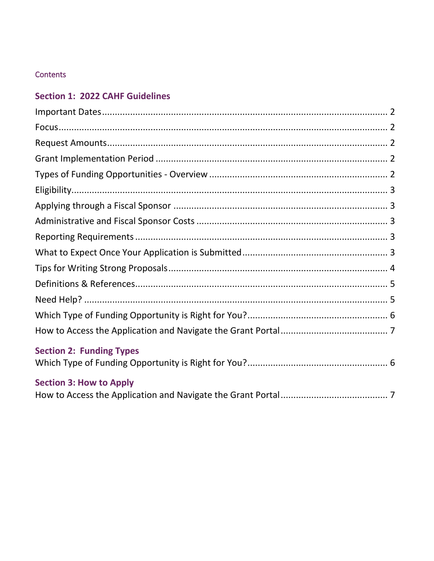# Contents

# **Section 1: 2022 CAHF Guidelines**

| <b>Section 2: Funding Types</b> |  |
|---------------------------------|--|
|                                 |  |
| <b>Section 3: How to Apply</b>  |  |
|                                 |  |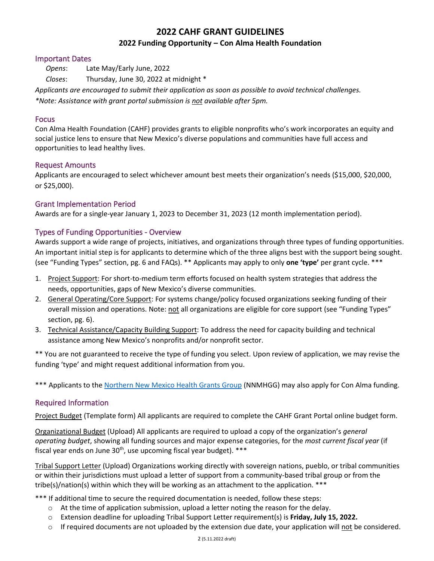# **2022 CAHF GRANT GUIDELINES**

#### **2022 Funding Opportunity – Con Alma Health Foundation**

#### <span id="page-2-0"></span>Important Dates

 *Opens*: Late May/Early June, 2022

 *Closes*: Thursday, June 30, 2022 at midnight \*

*Applicants are encouraged to submit their application as soon as possible to avoid technical challenges.* 

*\*Note: Assistance with grant portal submission is not available after 5pm.* 

#### <span id="page-2-1"></span>Focus

Con Alma Health Foundation (CAHF) provides grants to eligible nonprofits who's work incorporates an equity and social justice lens to ensure that New Mexico's diverse populations and communities have full access and opportunities to lead healthy lives.

#### <span id="page-2-2"></span>Request Amounts

Applicants are encouraged to select whichever amount best meets their organization's needs (\$15,000, \$20,000, or \$25,000).

#### <span id="page-2-3"></span>Grant Implementation Period

Awards are for a single-year January 1, 2023 to December 31, 2023 (12 month implementation period).

#### <span id="page-2-4"></span>Types of Funding Opportunities - Overview

Awards support a wide range of projects, initiatives, and organizations through three types of funding opportunities. An important initial step is for applicants to determine which of the three aligns best with the support being sought. (see "Funding Types" section, pg. 6 and FAQs). \*\* Applicants may apply to only **one 'type'** per grant cycle. \*\*\*

- 1. Project Support: For short-to-medium term efforts focused on health system strategies that address the needs, opportunities, gaps of New Mexico's diverse communities.
- 2. General Operating/Core Support: For systems change/policy focused organizations seeking funding of their overall mission and operations. Note: not all organizations are eligible for core support (see "Funding Types" section, pg. 6).
- 3. Technical Assistance/Capacity Building Support: To address the need for capacity building and technical assistance among New Mexico's nonprofits and/or nonprofit sector.

\*\* You are not guaranteed to receive the type of funding you select. Upon review of application, we may revise the funding 'type' and might request additional information from you.

\*\*\* Applicants to the [Northern New Mexico Health Grants Group](https://conalma.org/grantmaking/for-grant-seekers/) (NNMHGG) may also apply for Con Alma funding.

#### Required Information

Project Budget (Template form) All applicants are required to complete the CAHF Grant Portal online budget form.

Organizational Budget (Upload) All applicants are required to upload a copy of the organization's *general operating budget*, showing all funding sources and major expense categories, for the *most current fiscal year* (if fiscal year ends on June  $30<sup>th</sup>$ , use upcoming fiscal year budget). \*\*\*

Tribal Support Letter (Upload) Organizations working directly with sovereign nations, pueblo, or tribal communities or within their jurisdictions must upload a letter of support from a community-based tribal group or from the tribe(s)/nation(s) within which they will be working as an attachment to the application.  $***$ 

\*\*\* If additional time to secure the required documentation is needed, follow these steps:

- $\circ$  At the time of application submission, upload a letter noting the reason for the delay.
- o Extension deadline for uploading Tribal Support Letter requirement(s) is **Friday, July 15, 2022.**
- $\circ$  If required documents are not uploaded by the extension due date, your application will not be considered.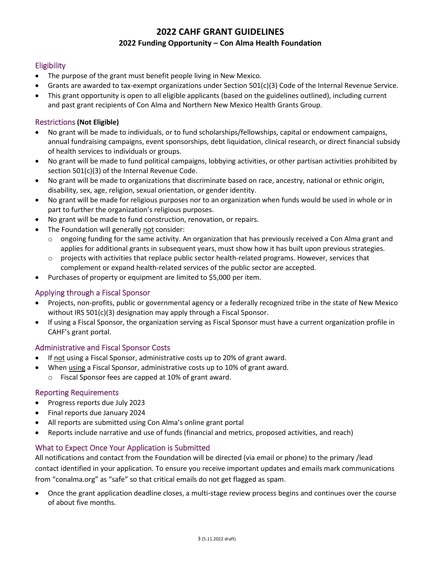# **2022 CAHF GRANT GUIDELINES 2022 Funding Opportunity – Con Alma Health Foundation**

#### <span id="page-3-0"></span>**Eligibility**

- The purpose of the grant must benefit people living in New Mexico.
- Grants are awarded to tax-exempt organizations under Section 501(c)(3) Code of the Internal Revenue Service.
- This grant opportunity is open to all eligible applicants (based on the guidelines outlined), including current and past grant recipients of Con Alma and Northern New Mexico Health Grants Group.

#### Restrictions **(Not Eligible)**

- No grant will be made to individuals, or to fund scholarships/fellowships, capital or endowment campaigns, annual fundraising campaigns, event sponsorships, debt liquidation, clinical research, or direct financial subsidy of health services to individuals or groups.
- No grant will be made to fund political campaigns, lobbying activities, or other partisan activities prohibited by section 501(c)(3) of the Internal Revenue Code.
- No grant will be made to organizations that discriminate based on race, ancestry, national or ethnic origin, disability, sex, age, religion, sexual orientation, or gender identity.
- No grant will be made for religious purposes nor to an organization when funds would be used in whole or in part to further the organization's religious purposes.
- No grant will be made to fund construction, renovation, or repairs.
- The Foundation will generally not consider:
	- $\circ$  ongoing funding for the same activity. An organization that has previously received a Con Alma grant and applies for additional grants in subsequent years, must show how it has built upon previous strategies.
	- $\circ$  projects with activities that replace public sector health-related programs. However, services that complement or expand health-related services of the public sector are accepted.
- Purchases of property or equipment are limited to \$5,000 per item.

#### <span id="page-3-1"></span>Applying through a Fiscal Sponsor

- Projects, non-profits, public or governmental agency or a federally recognized tribe in the state of New Mexico without IRS 501(c)(3) designation may apply through a Fiscal Sponsor.
- If using a Fiscal Sponsor, the organization serving as Fiscal Sponsor must have a current organization profile in CAHF's grant portal.

#### <span id="page-3-2"></span>Administrative and Fiscal Sponsor Costs

- If not using a Fiscal Sponsor, administrative costs up to 20% of grant award.
- When using a Fiscal Sponsor, administrative costs up to 10% of grant award.
	- o Fiscal Sponsor fees are capped at 10% of grant award.

#### <span id="page-3-3"></span>Reporting Requirements

- Progress reports due July 2023
- Final reports due January 2024
- All reports are submitted using Con Alma's online grant portal
- Reports include narrative and use of funds (financial and metrics, proposed activities, and reach)

#### <span id="page-3-4"></span>What to Expect Once Your Application is Submitted

All notifications and contact from the Foundation will be directed (via email or phone) to the primary /lead contact identified in your application. To ensure you receive important updates and emails mark communications from "conalma.org" as "safe" so that critical emails do not get flagged as spam.

• Once the grant application deadline closes, a multi-stage review process begins and continues over the course of about five months.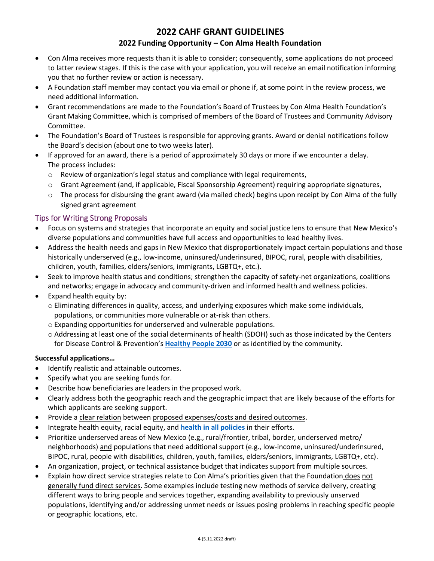# **2022 CAHF GRANT GUIDELINES**

#### **2022 Funding Opportunity – Con Alma Health Foundation**

- Con Alma receives more requests than it is able to consider; consequently, some applications do not proceed to latter review stages. If this is the case with your application, you will receive an email notification informing you that no further review or action is necessary.
- A Foundation staff member may contact you via email or phone if, at some point in the review process, we need additional information.
- Grant recommendations are made to the Foundation's Board of Trustees by Con Alma Health Foundation's Grant Making Committee, which is comprised of members of the Board of Trustees and Community Advisory Committee.
- The Foundation's Board of Trustees is responsible for approving grants. Award or denial notifications follow the Board's decision (about one to two weeks later).
- If approved for an award, there is a period of approximately 30 days or more if we encounter a delay. The process includes:
	- o Review of organization's legal status and compliance with legal requirements,
	- o Grant Agreement (and, if applicable, Fiscal Sponsorship Agreement) requiring appropriate signatures,
	- $\circ$  The process for disbursing the grant award (via mailed check) begins upon receipt by Con Alma of the fully signed grant agreement

#### <span id="page-4-0"></span>Tips for Writing Strong Proposals

- Focus on systems and strategies that incorporate an equity and social justice lens to ensure that New Mexico's diverse populations and communities have full access and opportunities to lead healthy lives.
- Address the health needs and gaps in New Mexico that disproportionately impact certain populations and those historically underserved (e.g., low-income, uninsured/underinsured, BIPOC, rural, people with disabilities, children, youth, families, elders/seniors, immigrants, LGBTQ+, etc.).
- Seek to improve health status and conditions; strengthen the capacity of safety-net organizations, coalitions and networks; engage in advocacy and community-driven and informed health and wellness policies.
- Expand health equity by:
	- o Eliminating differences in quality, access, and underlying exposures which make some individuals, populations, or communities more vulnerable or at-risk than others.
	- o Expanding opportunities for underserved and vulnerable populations.
	- o Addressing at least one of the social determinants of health (SDOH) such as those indicated by the Centers for Disease Control & Prevention's **[Healthy People 2030](https://health.gov/healthypeople/objectives-and-data/social-determinants-health)** or as identified by the community.

#### **Successful applications…**

- Identify realistic and attainable outcomes.
- Specify what you are seeking funds for.
- Describe how beneficiaries are leaders in the proposed work.
- Clearly address both the geographic reach and the geographic impact that are likely because of the efforts for which applicants are seeking support.
- Provide a clear relation between proposed expenses/costs and desired outcomes.
- Integrate health equity, racial equity, and **[health in all policies](https://www.nmvoices.org/archives/15650#:~:text=Ultimately%2C%20we%20propose%20a%20%E2%80%9Chealth-in-all-policies%E2%80%9D%20approach%20for%20New,all%20levels%20of%20government%20and%20all%20policy%20areas.)** in their efforts.
- Prioritize underserved areas of New Mexico (e.g., rural/frontier, tribal, border, underserved metro/ neighborhoods) and populations that need additional support (e.g., low-income, uninsured/underinsured, BIPOC, rural, people with disabilities, children, youth, families, elders/seniors, immigrants, LGBTQ+, etc).
- An organization, project, or technical assistance budget that indicates support from multiple sources.
- Explain how direct service strategies relate to Con Alma's priorities given that the Foundation does not generally fund direct services. Some examples include testing new methods of service delivery, creating different ways to bring people and services together, expanding availability to previously unserved populations, identifying and/or addressing unmet needs or issues posing problems in reaching specific people or geographic locations, etc.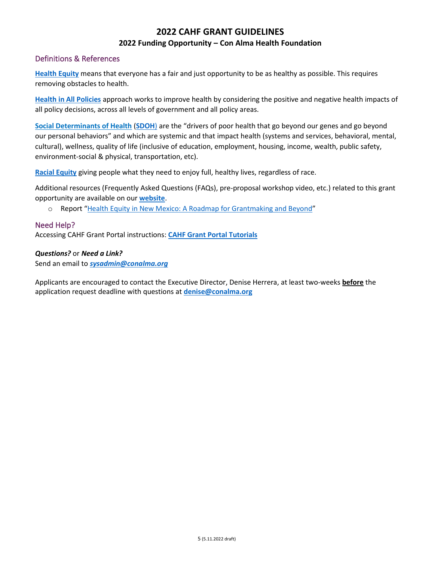# **2022 CAHF GRANT GUIDELINES 2022 Funding Opportunity – Con Alma Health Foundation**

#### <span id="page-5-0"></span>Definitions & References

**[Health Equity](https://www.rwjf.org/en/library/research/2017/05/what-is-health-equity-.html)** means that everyone has a fair and just opportunity to be as healthy as possible. This requires removing obstacles to health.

**[Health in All Policies](https://www.nmvoices.org/archives/15650#:~:text=Ultimately%2C%20we%20propose%20a%20%E2%80%9Chealth-in-all-policies%E2%80%9D%20approach%20for%20New,all%20levels%20of%20government%20and%20all%20policy%20areas.)** approach works to improve health by considering the positive and negative health impacts of all policy decisions, across all levels of government and all policy areas.

**Social Determinants of Health** (**[SDOH](https://health.gov/healthypeople/objectives-and-data/social-determinants-health)**) are the "drivers of poor health that go beyond our genes and go beyond our personal behaviors" and which are systemic and that impact health (systems and services, behavioral, mental, cultural), wellness, quality of life (inclusive of education, employment, housing, income, wealth, public safety, environment-social & physical, transportation, etc).

**[Racial Equity](https://www.aecf.org/resources/race-equity-and-inclusion-action-guide)** giving people what they need to enjoy full, healthy lives, regardless of race.

Additional resources (Frequently Asked Questions (FAQs), pre-proposal workshop video, etc.) related to this grant opportunity are available on our **[website](https://conalma.org/grantmaking/for-grant-seekers/)**.

o Report "Health [Equity in New Mexico: A Roadmap for Grantmaking and Beyond](http://conalma.org/wp-content/uploads/2012/10/CAHF2012HER.pdf)"

#### <span id="page-5-1"></span>Need Help?

Accessing CAHF Grant Portal instructions: **[CAHF Grant Portal Tutorials](https://conalma.org/pre-proposal-tutorials/)**

#### *Questions?* or *Need a Link?*

Send an email to *[sysadmin@conalma.org](mailto:sysadmin@conalma.org)*

Applicants are encouraged to contact the Executive Director, Denise Herrera, at least two-weeks **before** the application request deadline with questions at **[denise@conalma.org](mailto:dherrera@conalma.org)**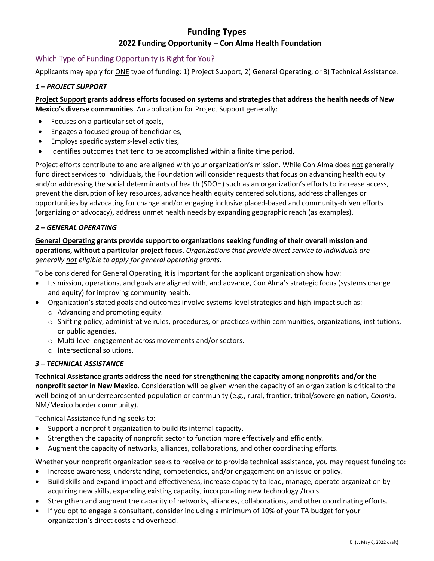# **Funding Types 2022 Funding Opportunity – Con Alma Health Foundation**

#### <span id="page-6-0"></span>Which Type of Funding Opportunity is Right for You?

Applicants may apply for ONE type of funding: 1) Project Support, 2) General Operating, or 3) Technical Assistance.

#### *1 – PROJECT SUPPORT*

**Project Support grants address efforts focused on systems and strategies that address the health needs of New Mexico's diverse communities**. An application for Project Support generally:

- Focuses on a particular set of goals,
- Engages a focused group of beneficiaries,
- Employs specific systems-level activities,
- Identifies outcomes that tend to be accomplished within a finite time period.

Project efforts contribute to and are aligned with your organization's mission. While Con Alma does not generally fund direct services to individuals, the Foundation will consider requests that focus on advancing health equity and/or addressing the social determinants of health (SDOH) such as an organization's efforts to increase access, prevent the disruption of key resources, advance health equity centered solutions, address challenges or opportunities by advocating for change and/or engaging inclusive placed-based and community-driven efforts (organizing or advocacy), address unmet health needs by expanding geographic reach (as examples).

#### *2 – GENERAL OPERATING*

**General Operating grants provide support to organizations seeking funding of their overall mission and operations, without a particular project focus**. *Organizations that provide direct service to individuals are generally not eligible to apply for general operating grants.*

To be considered for General Operating, it is important for the applicant organization show how:

- Its mission, operations, and goals are aligned with, and advance, Con Alma's strategic focus (systems change and equity) for improving community health.
- Organization's stated goals and outcomes involve systems-level strategies and high-impact such as: o Advancing and promoting equity.
	- $\circ$  Shifting policy, administrative rules, procedures, or practices within communities, organizations, institutions, or public agencies.
	- o Multi-level engagement across movements and/or sectors.
	- o Intersectional solutions.

#### *3 – TECHNICAL ASSISTANCE*

**Technical Assistance grants address the need for strengthening the capacity among nonprofits and/or the nonprofit sector in New Mexico**. Consideration will be given when the capacity of an organization is critical to the well-being of an underrepresented population or community (e.g., rural, frontier, tribal/sovereign nation, *Colonia*, NM/Mexico border community).

Technical Assistance funding seeks to:

- Support a nonprofit organization to build its internal capacity.
- Strengthen the capacity of nonprofit sector to function more effectively and efficiently.
- Augment the capacity of networks, alliances, collaborations, and other coordinating efforts.

Whether your nonprofit organization seeks to receive or to provide technical assistance, you may request funding to:

- Increase awareness, understanding, competencies, and/or engagement on an issue or policy.
- Build skills and expand impact and effectiveness, increase capacity to lead, manage, operate organization by acquiring new skills, expanding existing capacity, incorporating new technology /tools.
- Strengthen and augment the capacity of networks, alliances, collaborations, and other coordinating efforts.
- If you opt to engage a consultant, consider including a minimum of 10% of your TA budget for your organization's direct costs and overhead.